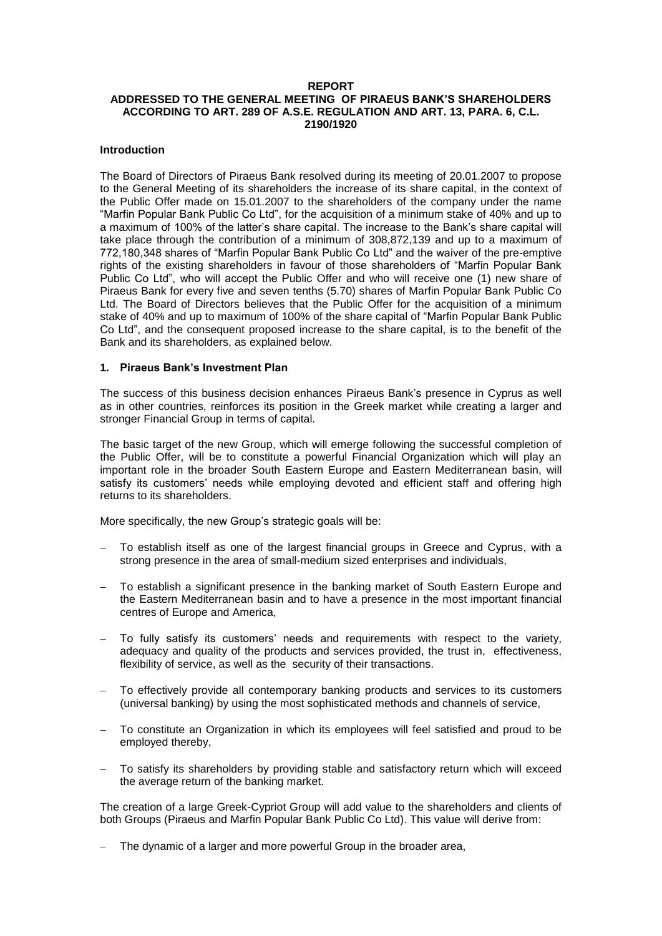## **REPORT**

# **ADDRESSED TO THE GENERAL MEETING OF PIRAEUS BANK'S SHAREHOLDERS ACCORDING TO ART. 289 OF A.S.E. REGULATION AND ART. 13, PARA. 6, C.L. 2190/1920**

### **Introduction**

The Board of Directors of Piraeus Bank resolved during its meeting of 20.01.2007 to propose to the General Meeting of its shareholders the increase of its share capital, in the context of the Public Offer made on 15.01.2007 to the shareholders of the company under the name "Marfin Popular Bank Public Co Ltd", for the acquisition of a minimum stake of 40% and up to a maximum of 100% of the latter's share capital. The increase to the Bank's share capital will take place through the contribution of a minimum of 308,872,139 and up to a maximum of 772,180,348 shares of "Marfin Popular Bank Public Co Ltd" and the waiver of the pre-emptive rights of the existing shareholders in favour of those shareholders of "Marfin Popular Bank Public Co Ltd", who will accept the Public Offer and who will receive one (1) new share of Piraeus Bank for every five and seven tenths (5.70) shares of Marfin Popular Bank Public Co Ltd. The Board of Directors believes that the Public Offer for the acquisition of a minimum stake of 40% and up to maximum of 100% of the share capital of "Marfin Popular Bank Public Co Ltd", and the consequent proposed increase to the share capital, is to the benefit of the Bank and its shareholders, as explained below.

#### **1. Piraeus Bank's Investment Plan**

The success of this business decision enhances Piraeus Bank's presence in Cyprus as well as in other countries, reinforces its position in the Greek market while creating a larger and stronger Financial Group in terms of capital.

The basic target of the new Group, which will emerge following the successful completion of the Public Offer, will be to constitute a powerful Financial Organization which will play an important role in the broader South Eastern Europe and Eastern Mediterranean basin, will satisfy its customers' needs while employing devoted and efficient staff and offering high returns to its shareholders.

More specifically, the new Group's strategic goals will be:

- To establish itself as one of the largest financial groups in Greece and Cyprus, with a strong presence in the area of small-medium sized enterprises and individuals,
- To establish a significant presence in the banking market of South Eastern Europe and the Eastern Mediterranean basin and to have a presence in the most important financial centres of Europe and America,
- To fully satisfy its customers' needs and requirements with respect to the variety, adequacy and quality of the products and services provided, the trust in, effectiveness, flexibility of service, as well as the security of their transactions.
- To effectively provide all contemporary banking products and services to its customers (universal banking) by using the most sophisticated methods and channels of service,
- To constitute an Organization in which its employees will feel satisfied and proud to be employed thereby,
- To satisfy its shareholders by providing stable and satisfactory return which will exceed the average return of the banking market.

The creation of a large Greek-Cypriot Group will add value to the shareholders and clients of both Groups (Piraeus and Marfin Popular Bank Public Co Ltd). This value will derive from:

The dynamic of a larger and more powerful Group in the broader area,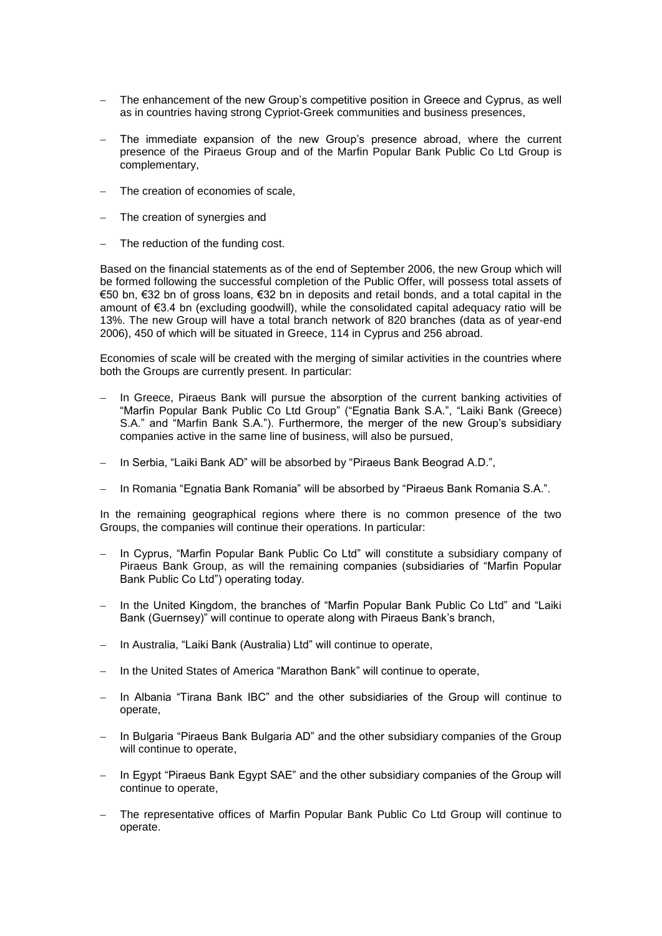- The enhancement of the new Group's competitive position in Greece and Cyprus, as well as in countries having strong Cypriot-Greek communities and business presences,
- The immediate expansion of the new Group's presence abroad, where the current presence of the Piraeus Group and of the Marfin Popular Bank Public Co Ltd Group is complementary,
- The creation of economies of scale,
- The creation of synergies and
- The reduction of the funding cost.

Based on the financial statements as of the end of September 2006, the new Group which will be formed following the successful completion of the Public Offer, will possess total assets of €50 bn, €32 bn of gross loans, €32 bn in deposits and retail bonds, and a total capital in the amount of €3.4 bn (excluding goodwill), while the consolidated capital adequacy ratio will be 13%. The new Group will have a total branch network of 820 branches (data as of year-end 2006), 450 of which will be situated in Greece, 114 in Cyprus and 256 abroad.

Economies of scale will be created with the merging of similar activities in the countries where both the Groups are currently present. In particular:

- In Greece, Piraeus Bank will pursue the absorption of the current banking activities of "Marfin Popular Bank Public Co Ltd Group" ("Egnatia Bank S.A.", "Laiki Bank (Greece) S.A." and "Marfin Bank S.A."). Furthermore, the merger of the new Group's subsidiary companies active in the same line of business, will also be pursued,
- In Serbia, "Laiki Bank AD" will be absorbed by "Piraeus Bank Beograd A.D.",
- In Romania "Egnatia Bank Romania" will be absorbed by "Piraeus Bank Romania S.A.".

In the remaining geographical regions where there is no common presence of the two Groups, the companies will continue their operations. In particular:

- In Cyprus, "Marfin Popular Bank Public Co Ltd" will constitute a subsidiary company of Piraeus Bank Group, as will the remaining companies (subsidiaries of "Marfin Popular Bank Public Co Ltd") operating today.
- In the United Kingdom, the branches of "Marfin Popular Bank Public Co Ltd" and "Laiki Bank (Guernsey)" will continue to operate along with Piraeus Bank's branch,
- In Australia, "Laiki Bank (Australia) Ltd" will continue to operate,
- In the United States of America "Marathon Bank" will continue to operate,
- In Albania "Tirana Bank IBC" and the other subsidiaries of the Group will continue to operate,
- In Bulgaria "Piraeus Bank Bulgaria AD" and the other subsidiary companies of the Group will continue to operate.
- In Egypt "Piraeus Bank Egypt SAE" and the other subsidiary companies of the Group will continue to operate,
- The representative offices of Marfin Popular Bank Public Co Ltd Group will continue to operate.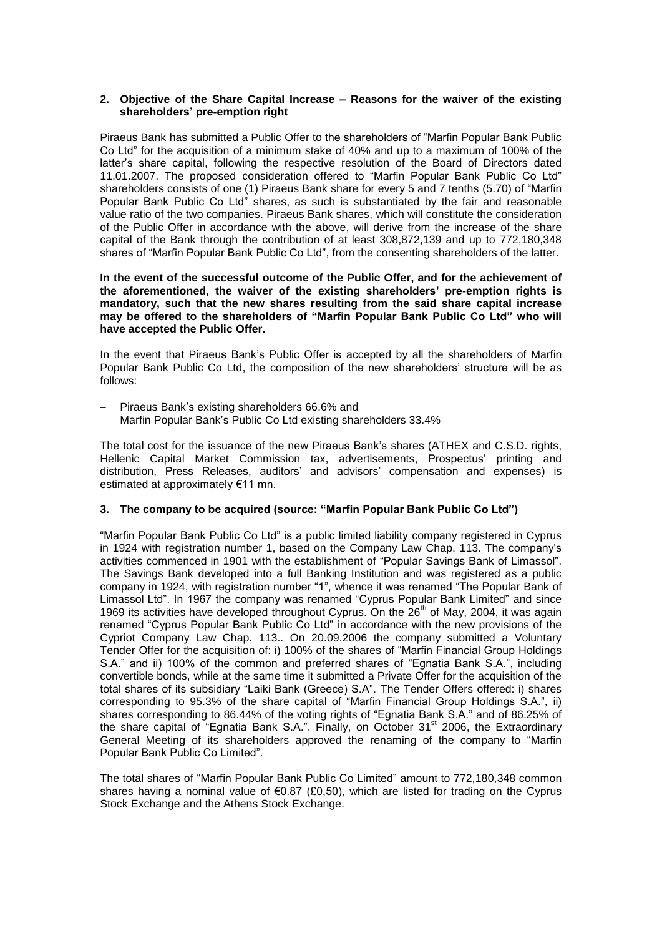### **2. Objective of the Share Capital Increase – Reasons for the waiver of the existing shareholders' pre-emption right**

Piraeus Bank has submitted a Public Offer to the shareholders of "Marfin Popular Bank Public Co Ltd" for the acquisition of a minimum stake of 40% and up to a maximum of 100% of the latter's share capital, following the respective resolution of the Board of Directors dated 11.01.2007. The proposed consideration offered to "Marfin Popular Bank Public Co Ltd" shareholders consists of one (1) Piraeus Bank share for every 5 and 7 tenths (5.70) of "Marfin Popular Bank Public Co Ltd" shares, as such is substantiated by the fair and reasonable value ratio of the two companies. Piraeus Bank shares, which will constitute the consideration of the Public Offer in accordance with the above, will derive from the increase of the share capital of the Bank through the contribution of at least 308,872,139 and up to 772,180,348 shares of "Marfin Popular Bank Public Co Ltd", from the consenting shareholders of the latter.

**In the event of the successful outcome of the Public Offer, and for the achievement of the aforementioned, the waiver of the existing shareholders' pre-emption rights is mandatory, such that the new shares resulting from the said share capital increase may be offered to the shareholders of "Marfin Popular Bank Public Co Ltd" who will have accepted the Public Offer.**

In the event that Piraeus Bank's Public Offer is accepted by all the shareholders of Marfin Popular Bank Public Co Ltd, the composition of the new shareholders' structure will be as follows:

- Piraeus Bank's existing shareholders 66.6% and
- Marfin Popular Bank's Public Co Ltd existing shareholders 33.4%

The total cost for the issuance of the new Piraeus Bank's shares (ATHEX and C.S.D. rights, Hellenic Capital Market Commission tax, advertisements, Prospectus' printing and distribution, Press Releases, auditors' and advisors' compensation and expenses) is estimated at approximately €11 mn.

### **3. The company to be acquired (source: "Marfin Popular Bank Public Co Ltd")**

"Marfin Popular Bank Public Co Ltd" is a public limited liability company registered in Cyprus in 1924 with registration number 1, based on the Company Law Chap. 113. The company's activities commenced in 1901 with the establishment of "Popular Savings Bank of Limassol". The Savings Bank developed into a full Banking Institution and was registered as a public company in 1924, with registration number "1", whence it was renamed "The Popular Bank of Limassol Ltd". In 1967 the company was renamed "Cyprus Popular Bank Limited" and since 1969 its activities have developed throughout Cyprus. On the 26<sup>th</sup> of May, 2004, it was again renamed "Cyprus Popular Bank Public Co Ltd" in accordance with the new provisions of the Cypriot Company Law Chap. 113.. On 20.09.2006 the company submitted a Voluntary Tender Offer for the acquisition of: i) 100% of the shares of "Marfin Financial Group Holdings S.A." and ii) 100% of the common and preferred shares of "Egnatia Bank S.A.", including convertible bonds, while at the same time it submitted a Private Offer for the acquisition of the total shares of its subsidiary "Laiki Bank (Greece) S.A". The Tender Offers offered: i) shares corresponding to 95.3% of the share capital of "Marfin Financial Group Holdings S.A.", ii) shares corresponding to 86.44% of the voting rights of "Egnatia Bank S.A." and of 86.25% of the share capital of "Egnatia Bank S.A.". Finally, on October 31 $^{\text{st}}$  2006, the Extraordinary General Meeting of its shareholders approved the renaming of the company to "Marfin Popular Bank Public Co Limited".

The total shares of "Marfin Popular Bank Public Co Limited" amount to 772,180,348 common shares having a nominal value of  $\epsilon$ 0.87 (£0,50), which are listed for trading on the Cyprus Stock Exchange and the Athens Stock Exchange.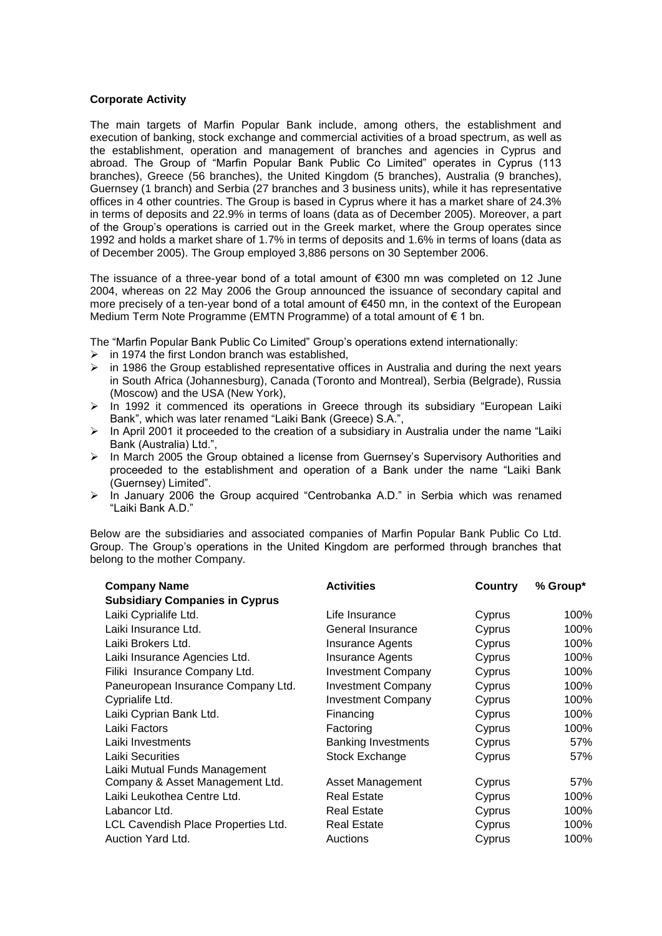## **Corporate Activity**

The main targets of Marfin Popular Bank include, among others, the establishment and execution of banking, stock exchange and commercial activities of a broad spectrum, as well as the establishment, operation and management of branches and agencies in Cyprus and abroad. The Group of "Marfin Popular Bank Public Co Limited" operates in Cyprus (113 branches), Greece (56 branches), the United Kingdom (5 branches), Australia (9 branches), Guernsey (1 branch) and Serbia (27 branches and 3 business units), while it has representative offices in 4 other countries. The Group is based in Cyprus where it has a market share of 24.3% in terms of deposits and 22.9% in terms of loans (data as of December 2005). Moreover, a part of the Group's operations is carried out in the Greek market, where the Group operates since 1992 and holds a market share of 1.7% in terms of deposits and 1.6% in terms of loans (data as of December 2005). The Group employed 3,886 persons on 30 September 2006.

The issuance of a three-year bond of a total amount of  $\epsilon$ 300 mn was completed on 12 June 2004, whereas on 22 May 2006 the Group announced the issuance of secondary capital and more precisely of a ten-year bond of a total amount of €450 mn, in the context of the European Medium Term Note Programme (EMTN Programme) of a total amount of € 1 bn.

The "Marfin Popular Bank Public Co Limited" Group's operations extend internationally:

- $\geq$  in 1974 the first London branch was established.
- in 1986 the Group established representative offices in Australia and during the next years in South Africa (Johannesburg), Canada (Toronto and Montreal), Serbia (Belgrade), Russia (Moscow) and the USA (New York),
- $\triangleright$  In 1992 it commenced its operations in Greece through its subsidiary "European Laiki Bank", which was later renamed "Laiki Bank (Greece) S.A.",
- $\triangleright$  In April 2001 it proceeded to the creation of a subsidiary in Australia under the name "Laiki Bank (Australia) Ltd.",
- $\triangleright$  In March 2005 the Group obtained a license from Guernsey's Supervisory Authorities and proceeded to the establishment and operation of a Bank under the name "Laiki Bank (Guernsey) Limited".
- $\triangleright$  In January 2006 the Group acquired "Centrobanka A.D." in Serbia which was renamed "Laiki Bank A.D."

Below are the subsidiaries and associated companies of Marfin Popular Bank Public Co Ltd. Group. The Group's operations in the United Kingdom are performed through branches that belong to the mother Company.

| <b>Company Name</b><br><b>Subsidiary Companies in Cyprus</b> | <b>Activities</b>          | Country | % Group* |
|--------------------------------------------------------------|----------------------------|---------|----------|
| Laiki Cyprialife Ltd.                                        | Life Insurance             | Cyprus  | 100%     |
| Laiki Insurance Ltd.                                         | General Insurance          | Cyprus  | 100%     |
| Laiki Brokers Ltd.                                           | <b>Insurance Agents</b>    | Cyprus  | 100%     |
| Laiki Insurance Agencies Ltd.                                | <b>Insurance Agents</b>    | Cyprus  | 100%     |
| Filiki Insurance Company Ltd.                                | <b>Investment Company</b>  | Cyprus  | 100%     |
| Paneuropean Insurance Company Ltd.                           | <b>Investment Company</b>  | Cyprus  | 100%     |
| Cyprialife Ltd.                                              | <b>Investment Company</b>  | Cyprus  | 100%     |
| Laiki Cyprian Bank Ltd.                                      | Financing                  | Cyprus  | 100%     |
| Laiki Factors                                                | Factoring                  | Cyprus  | 100%     |
| Laiki Investments                                            | <b>Banking Investments</b> | Cyprus  | 57%      |
| <b>Laiki Securities</b><br>Laiki Mutual Funds Management     | Stock Exchange             | Cyprus  | 57%      |
| Company & Asset Management Ltd.                              | Asset Management           | Cyprus  | 57%      |
| Laiki Leukothea Centre Ltd.                                  | <b>Real Estate</b>         | Cyprus  | 100%     |
| Labancor Ltd.                                                | <b>Real Estate</b>         | Cyprus  | 100%     |
| LCL Cavendish Place Properties Ltd.                          | <b>Real Estate</b>         | Cyprus  | 100%     |
| Auction Yard Ltd.                                            | Auctions                   | Cyprus  | 100%     |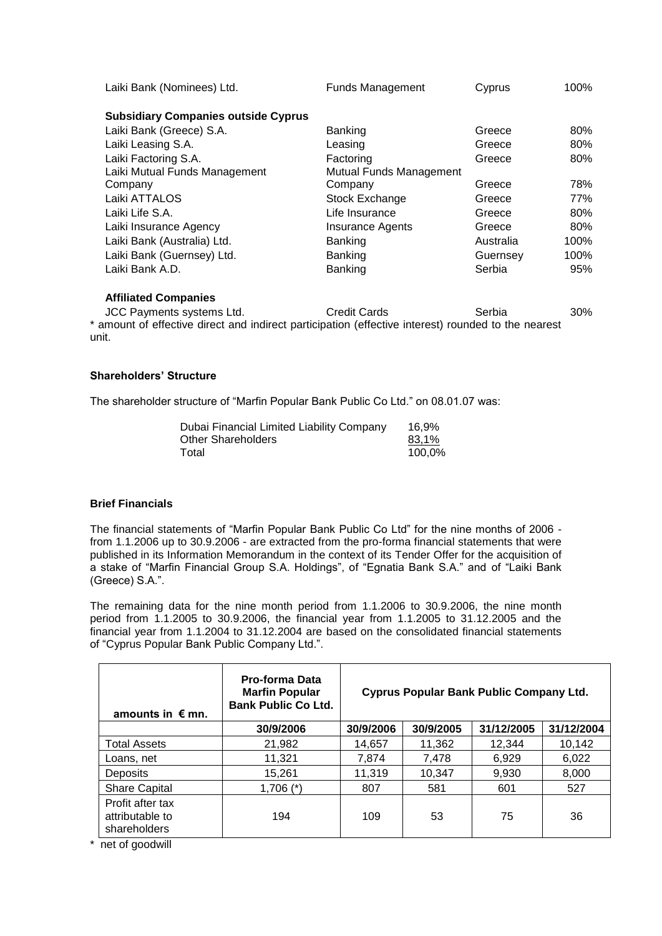| Laiki Bank (Nominees) Ltd.                 | <b>Funds Management</b> | Cyprus    | 100% |
|--------------------------------------------|-------------------------|-----------|------|
| <b>Subsidiary Companies outside Cyprus</b> |                         |           |      |
| Laiki Bank (Greece) S.A.                   | <b>Banking</b>          | Greece    | 80%  |
| Laiki Leasing S.A.                         | Leasing                 | Greece    | 80%  |
| Laiki Factoring S.A.                       | Factoring               | Greece    | 80%  |
| Laiki Mutual Funds Management              | Mutual Funds Management |           |      |
| Company                                    | Company                 | Greece    | 78%  |
| Laiki ATTALOS                              | Stock Exchange          | Greece    | 77%  |
| Laiki Life S.A.                            | Life Insurance          | Greece    | 80%  |
| Laiki Insurance Agency                     | <b>Insurance Agents</b> | Greece    | 80%  |
| Laiki Bank (Australia) Ltd.                | <b>Banking</b>          | Australia | 100% |
| Laiki Bank (Guernsey) Ltd.                 | <b>Banking</b>          | Guernsey  | 100% |
| Laiki Bank A.D.                            | <b>Banking</b>          | Serbia    | 95%  |
| <b>Affiliated Companies</b>                |                         |           |      |

JCC Payments systems Ltd. Credit Cards Serbia 30% \* amount of effective direct and indirect participation (effective interest) rounded to the nearest unit.

## **Shareholders' Structure**

The shareholder structure of "Marfin Popular Bank Public Co Ltd." on 08.01.07 was:

| Dubai Financial Limited Liability Company | 16.9%  |
|-------------------------------------------|--------|
| Other Shareholders                        | 83.1%  |
| Total                                     | 100,0% |

### **Brief Financials**

The financial statements of "Marfin Popular Bank Public Co Ltd" for the nine months of 2006 from 1.1.2006 up to 30.9.2006 - are extracted from the pro-forma financial statements that were published in its Information Memorandum in the context of its Tender Offer for the acquisition of a stake of "Marfin Financial Group S.A. Holdings", of "Egnatia Bank S.A." and of "Laiki Bank (Greece) S.A.".

The remaining data for the nine month period from 1.1.2006 to 30.9.2006, the nine month period from 1.1.2005 to 30.9.2006, the financial year from 1.1.2005 to 31.12.2005 and the financial year from 1.1.2004 to 31.12.2004 are based on the consolidated financial statements of "Cyprus Popular Bank Public Company Ltd.".

| amounts in $\epsilon$ mn.                           | <b>Pro-forma Data</b><br><b>Marfin Popular</b><br><b>Bank Public Co Ltd.</b> | <b>Cyprus Popular Bank Public Company Ltd.</b> |           |            |            |
|-----------------------------------------------------|------------------------------------------------------------------------------|------------------------------------------------|-----------|------------|------------|
|                                                     | 30/9/2006                                                                    | 30/9/2006                                      | 30/9/2005 | 31/12/2005 | 31/12/2004 |
| <b>Total Assets</b>                                 | 21,982                                                                       | 14,657                                         | 11,362    | 12,344     | 10,142     |
| Loans, net                                          | 11,321                                                                       | 7,874                                          | 7,478     | 6,929      | 6,022      |
| <b>Deposits</b>                                     | 15,261                                                                       | 11,319                                         | 10,347    | 9,930      | 8,000      |
| <b>Share Capital</b>                                | $1,706$ (*)                                                                  | 807                                            | 581       | 601        | 527        |
| Profit after tax<br>attributable to<br>shareholders | 194                                                                          | 109                                            | 53        | 75         | 36         |

\* net of goodwill